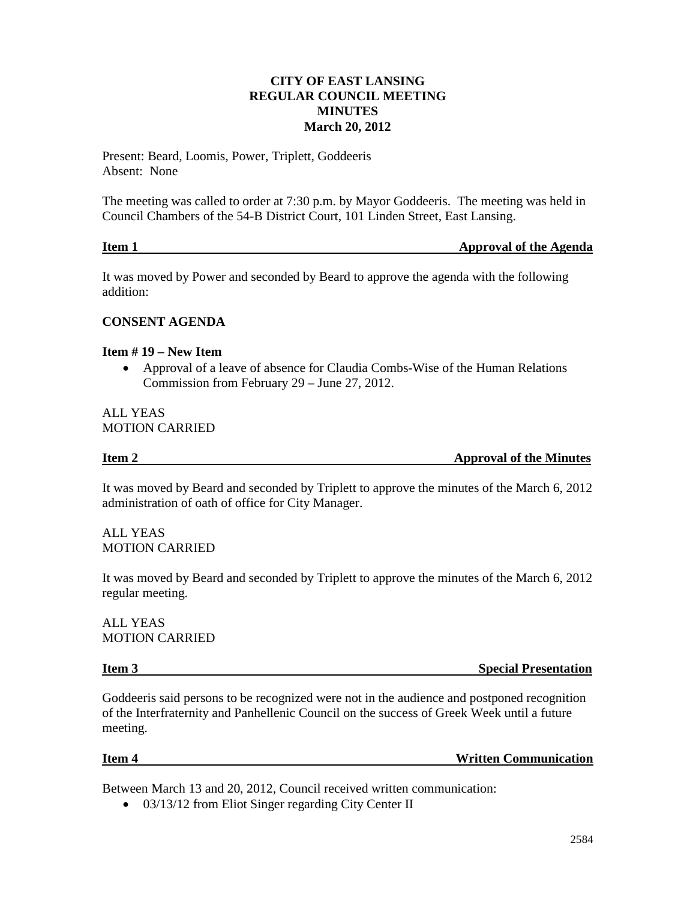# **CITY OF EAST LANSING REGULAR COUNCIL MEETING MINUTES March 20, 2012**

Present: Beard, Loomis, Power, Triplett, Goddeeris Absent: None

The meeting was called to order at 7:30 p.m. by Mayor Goddeeris. The meeting was held in Council Chambers of the 54-B District Court, 101 Linden Street, East Lansing.

| Item 1 | <b>Approval of the Agenda</b> |
|--------|-------------------------------|
|        |                               |

It was moved by Power and seconded by Beard to approve the agenda with the following addition:

# **CONSENT AGENDA**

# **Item # 19 – New Item**

• Approval of a leave of absence for Claudia Combs-Wise of the Human Relations Commission from February 29 – June 27, 2012.

ALL YEAS MOTION CARRIED

**Item 2** Approval of the Minutes

It was moved by Beard and seconded by Triplett to approve the minutes of the March 6, 2012 administration of oath of office for City Manager.

ALL YEAS MOTION CARRIED

It was moved by Beard and seconded by Triplett to approve the minutes of the March 6, 2012 regular meeting.

ALL YEAS MOTION CARRIED

**Item 3** Special Presentation

Goddeeris said persons to be recognized were not in the audience and postponed recognition of the Interfraternity and Panhellenic Council on the success of Greek Week until a future meeting.

**Item 4 Written Communication** 

Between March 13 and 20, 2012, Council received written communication:

• 03/13/12 from Eliot Singer regarding City Center II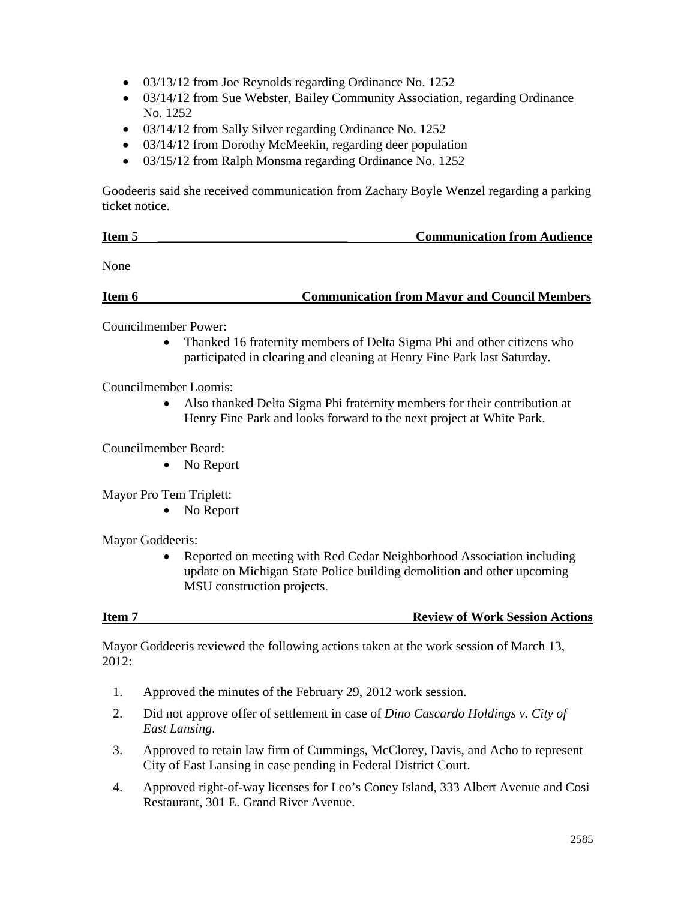- 03/13/12 from Joe Reynolds regarding Ordinance No. 1252
- 03/14/12 from Sue Webster, Bailey Community Association, regarding Ordinance No. 1252
- 03/14/12 from Sally Silver regarding Ordinance No. 1252
- 03/14/12 from Dorothy McMeekin, regarding deer population
- 03/15/12 from Ralph Monsma regarding Ordinance No. 1252

Goodeeris said she received communication from Zachary Boyle Wenzel regarding a parking ticket notice.

| Item 5 | <b>Communication from Audience</b> |  |
|--------|------------------------------------|--|
|        |                                    |  |

None

| Item 6 | <b>Communication from Mayor and Council Members</b> |  |
|--------|-----------------------------------------------------|--|
|        |                                                     |  |

Councilmember Power:

• Thanked 16 fraternity members of Delta Sigma Phi and other citizens who participated in clearing and cleaning at Henry Fine Park last Saturday.

Councilmember Loomis:

• Also thanked Delta Sigma Phi fraternity members for their contribution at Henry Fine Park and looks forward to the next project at White Park.

Councilmember Beard:

• No Report

Mayor Pro Tem Triplett:

• No Report

Mayor Goddeeris:

• Reported on meeting with Red Cedar Neighborhood Association including update on Michigan State Police building demolition and other upcoming MSU construction projects.

**Item 7 Review of Work Session Actions** 

Mayor Goddeeris reviewed the following actions taken at the work session of March 13, 2012:

- 1. Approved the minutes of the February 29, 2012 work session.
- 2. Did not approve offer of settlement in case of *Dino Cascardo Holdings v. City of East Lansing*.
- 3. Approved to retain law firm of Cummings, McClorey, Davis, and Acho to represent City of East Lansing in case pending in Federal District Court.
- 4. Approved right-of-way licenses for Leo's Coney Island, 333 Albert Avenue and Cosi Restaurant, 301 E. Grand River Avenue.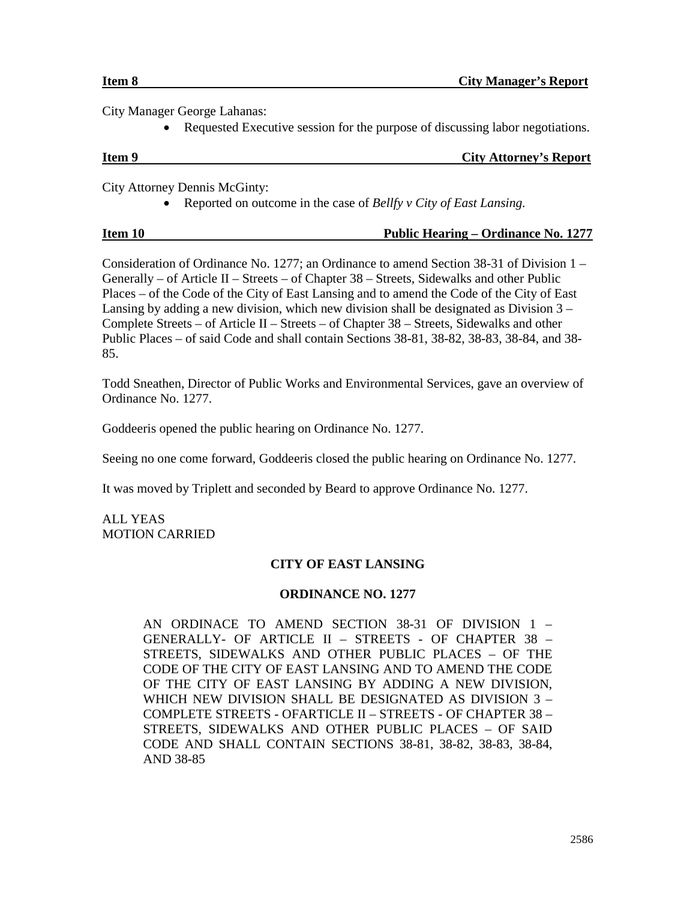City Manager George Lahanas:

• Requested Executive session for the purpose of discussing labor negotiations.

| Item 9 | <b>City Attorney's Report</b> |
|--------|-------------------------------|
|        |                               |

City Attorney Dennis McGinty:

• Reported on outcome in the case of *Bellfy v City of East Lansing.*

| Item 10 | <b>Public Hearing – Ordinance No. 1277</b> |
|---------|--------------------------------------------|

Consideration of Ordinance No. 1277; an Ordinance to amend Section 38-31 of Division 1 – Generally – of Article II – Streets – of Chapter  $38$  – Streets, Sidewalks and other Public Places – of the Code of the City of East Lansing and to amend the Code of the City of East Lansing by adding a new division, which new division shall be designated as Division  $3 -$ Complete Streets – of Article II – Streets – of Chapter 38 – Streets, Sidewalks and other Public Places – of said Code and shall contain Sections 38-81, 38-82, 38-83, 38-84, and 38- 85.

Todd Sneathen, Director of Public Works and Environmental Services, gave an overview of Ordinance No. 1277.

Goddeeris opened the public hearing on Ordinance No. 1277.

Seeing no one come forward, Goddeeris closed the public hearing on Ordinance No. 1277.

It was moved by Triplett and seconded by Beard to approve Ordinance No. 1277.

ALL YEAS MOTION CARRIED

# **CITY OF EAST LANSING**

# **ORDINANCE NO. 1277**

AN ORDINACE TO AMEND SECTION 38-31 OF DIVISION 1 – GENERALLY- OF ARTICLE II – STREETS - OF CHAPTER 38 – STREETS, SIDEWALKS AND OTHER PUBLIC PLACES – OF THE CODE OF THE CITY OF EAST LANSING AND TO AMEND THE CODE OF THE CITY OF EAST LANSING BY ADDING A NEW DIVISION, WHICH NEW DIVISION SHALL BE DESIGNATED AS DIVISION 3 – COMPLETE STREETS - OFARTICLE II – STREETS - OF CHAPTER 38 – STREETS, SIDEWALKS AND OTHER PUBLIC PLACES – OF SAID CODE AND SHALL CONTAIN SECTIONS 38-81, 38-82, 38-83, 38-84, AND 38-85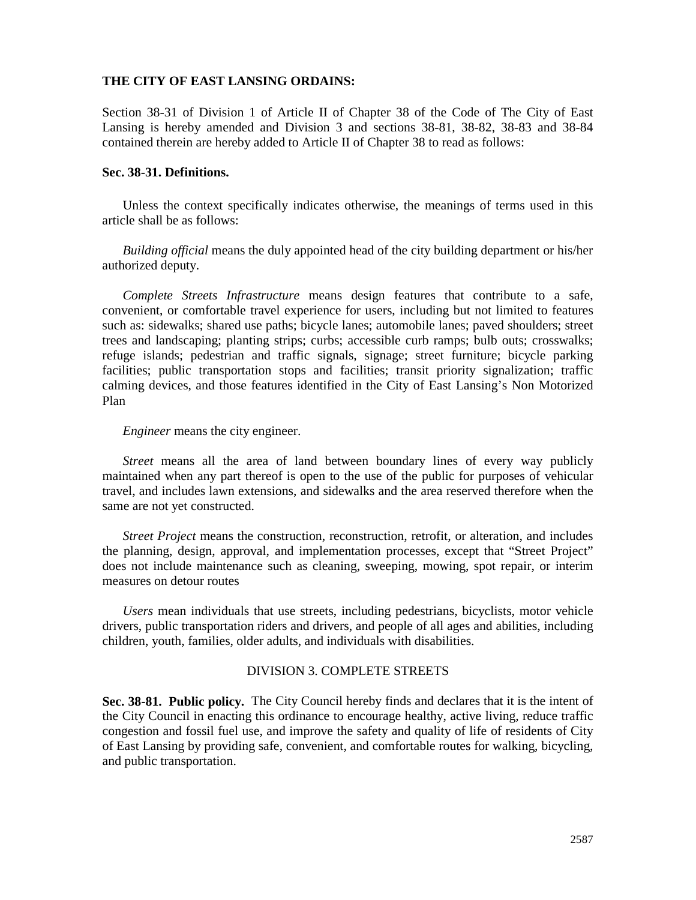### **THE CITY OF EAST LANSING ORDAINS:**

Section 38-31 of Division 1 of Article II of Chapter 38 of the Code of The City of East Lansing is hereby amended and Division 3 and sections 38-81, 38-82, 38-83 and 38-84 contained therein are hereby added to Article II of Chapter 38 to read as follows:

#### **Sec. 38-31. Definitions.**

Unless the context specifically indicates otherwise, the meanings of terms used in this article shall be as follows:

*Building official* means the duly appointed head of the city building department or his/her authorized deputy.

*Complete Streets Infrastructure* means design features that contribute to a safe, convenient, or comfortable travel experience for users, including but not limited to features such as: sidewalks; shared use paths; bicycle lanes; automobile lanes; paved shoulders; street trees and landscaping; planting strips; curbs; accessible curb ramps; bulb outs; crosswalks; refuge islands; pedestrian and traffic signals, signage; street furniture; bicycle parking facilities; public transportation stops and facilities; transit priority signalization; traffic calming devices, and those features identified in the City of East Lansing's Non Motorized Plan

### *Engineer* means the city engineer.

*Street* means all the area of land between boundary lines of every way publicly maintained when any part thereof is open to the use of the public for purposes of vehicular travel, and includes lawn extensions, and sidewalks and the area reserved therefore when the same are not yet constructed.

*Street Project* means the construction, reconstruction, retrofit, or alteration, and includes the planning, design, approval, and implementation processes, except that "Street Project" does not include maintenance such as cleaning, sweeping, mowing, spot repair, or interim measures on detour routes

*Users* mean individuals that use streets, including pedestrians, bicyclists, motor vehicle drivers, public transportation riders and drivers, and people of all ages and abilities, including children, youth, families, older adults, and individuals with disabilities.

### DIVISION 3. COMPLETE STREETS

**Sec. 38-81. Public policy.** The City Council hereby finds and declares that it is the intent of the City Council in enacting this ordinance to encourage healthy, active living, reduce traffic congestion and fossil fuel use, and improve the safety and quality of life of residents of City of East Lansing by providing safe, convenient, and comfortable routes for walking, bicycling, and public transportation.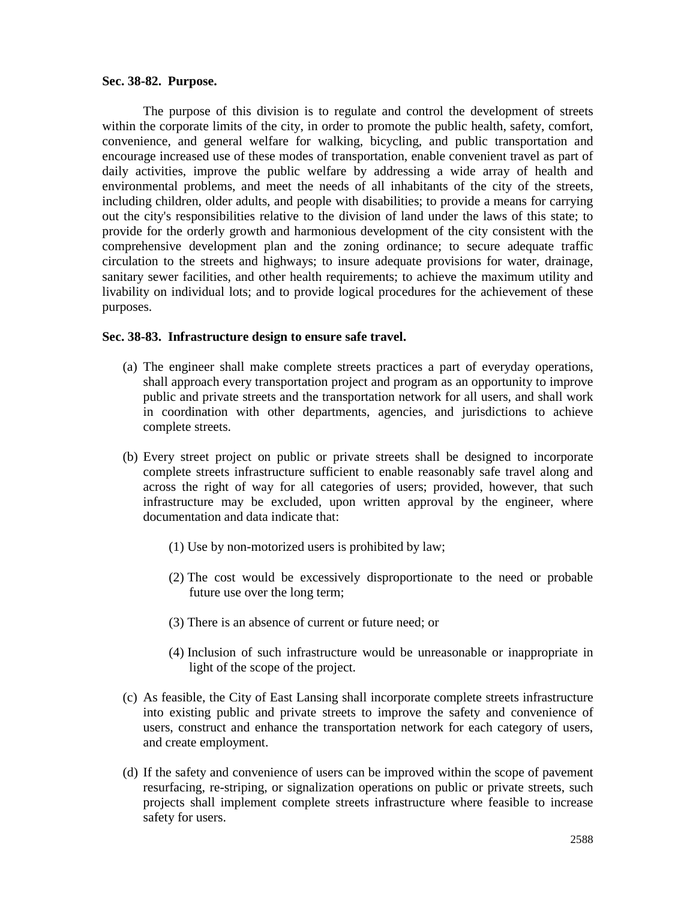#### **Sec. 38-82. Purpose.**

The purpose of this division is to regulate and control the development of streets within the corporate limits of the city, in order to promote the public health, safety, comfort, convenience, and general welfare for walking, bicycling, and public transportation and encourage increased use of these modes of transportation, enable convenient travel as part of daily activities, improve the public welfare by addressing a wide array of health and environmental problems, and meet the needs of all inhabitants of the city of the streets, including children, older adults, and people with disabilities; to provide a means for carrying out the city's responsibilities relative to the division of land under the laws of this state; to provide for the orderly growth and harmonious development of the city consistent with the comprehensive development plan and the zoning ordinance; to secure adequate traffic circulation to the streets and highways; to insure adequate provisions for water, drainage, sanitary sewer facilities, and other health requirements; to achieve the maximum utility and livability on individual lots; and to provide logical procedures for the achievement of these purposes.

### **Sec. 38-83. Infrastructure design to ensure safe travel.**

- (a) The engineer shall make complete streets practices a part of everyday operations, shall approach every transportation project and program as an opportunity to improve public and private streets and the transportation network for all users, and shall work in coordination with other departments, agencies, and jurisdictions to achieve complete streets.
- (b) Every street project on public or private streets shall be designed to incorporate complete streets infrastructure sufficient to enable reasonably safe travel along and across the right of way for all categories of users; provided, however, that such infrastructure may be excluded, upon written approval by the engineer, where documentation and data indicate that:
	- (1) Use by non-motorized users is prohibited by law;
	- (2) The cost would be excessively disproportionate to the need or probable future use over the long term;
	- (3) There is an absence of current or future need; or
	- (4) Inclusion of such infrastructure would be unreasonable or inappropriate in light of the scope of the project.
- (c) As feasible, the City of East Lansing shall incorporate complete streets infrastructure into existing public and private streets to improve the safety and convenience of users, construct and enhance the transportation network for each category of users, and create employment.
- (d) If the safety and convenience of users can be improved within the scope of pavement resurfacing, re-striping, or signalization operations on public or private streets, such projects shall implement complete streets infrastructure where feasible to increase safety for users.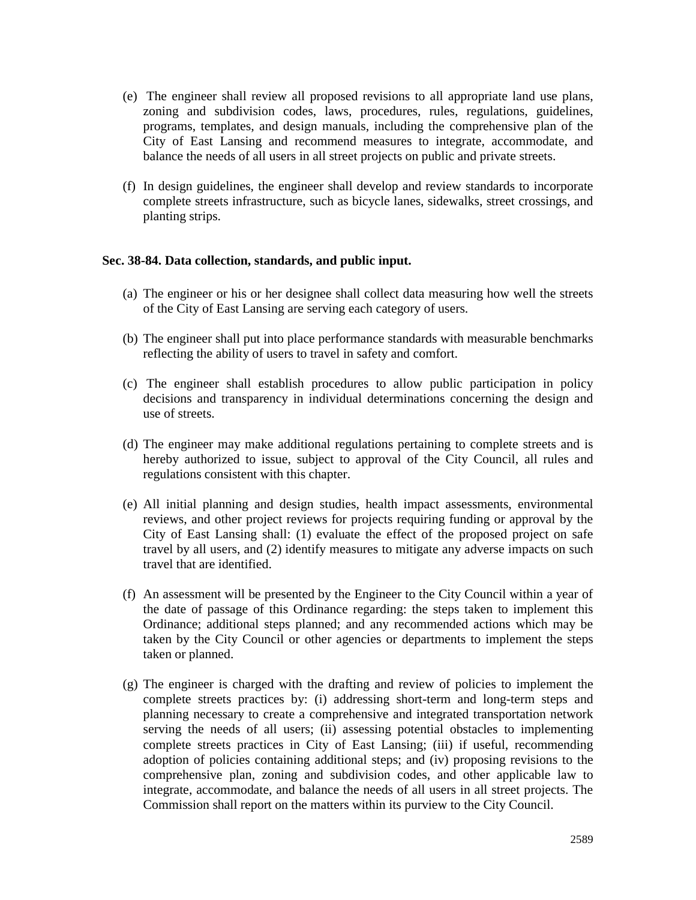- (e) The engineer shall review all proposed revisions to all appropriate land use plans, zoning and subdivision codes, laws, procedures, rules, regulations, guidelines, programs, templates, and design manuals, including the comprehensive plan of the City of East Lansing and recommend measures to integrate, accommodate, and balance the needs of all users in all street projects on public and private streets.
- (f) In design guidelines, the engineer shall develop and review standards to incorporate complete streets infrastructure, such as bicycle lanes, sidewalks, street crossings, and planting strips.

### **Sec. 38-84. Data collection, standards, and public input.**

- (a) The engineer or his or her designee shall collect data measuring how well the streets of the City of East Lansing are serving each category of users.
- (b) The engineer shall put into place performance standards with measurable benchmarks reflecting the ability of users to travel in safety and comfort.
- (c) The engineer shall establish procedures to allow public participation in policy decisions and transparency in individual determinations concerning the design and use of streets.
- (d) The engineer may make additional regulations pertaining to complete streets and is hereby authorized to issue, subject to approval of the City Council, all rules and regulations consistent with this chapter.
- (e) All initial planning and design studies, health impact assessments, environmental reviews, and other project reviews for projects requiring funding or approval by the City of East Lansing shall: (1) evaluate the effect of the proposed project on safe travel by all users, and (2) identify measures to mitigate any adverse impacts on such travel that are identified.
- (f) An assessment will be presented by the Engineer to the City Council within a year of the date of passage of this Ordinance regarding: the steps taken to implement this Ordinance; additional steps planned; and any recommended actions which may be taken by the City Council or other agencies or departments to implement the steps taken or planned.
- (g) The engineer is charged with the drafting and review of policies to implement the complete streets practices by: (i) addressing short-term and long-term steps and planning necessary to create a comprehensive and integrated transportation network serving the needs of all users; (ii) assessing potential obstacles to implementing complete streets practices in City of East Lansing; (iii) if useful, recommending adoption of policies containing additional steps; and (iv) proposing revisions to the comprehensive plan, zoning and subdivision codes, and other applicable law to integrate, accommodate, and balance the needs of all users in all street projects. The Commission shall report on the matters within its purview to the City Council.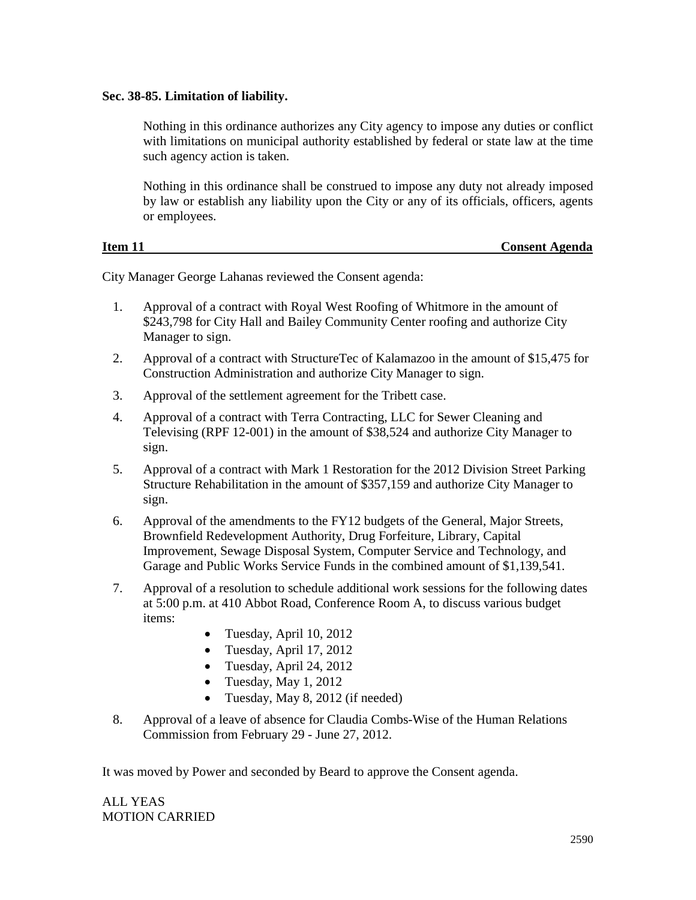# **Sec. 38-85. Limitation of liability.**

Nothing in this ordinance authorizes any City agency to impose any duties or conflict with limitations on municipal authority established by federal or state law at the time such agency action is taken.

Nothing in this ordinance shall be construed to impose any duty not already imposed by law or establish any liability upon the City or any of its officials, officers, agents or employees.

| Item 11 | <b>Consent Agenda</b> |
|---------|-----------------------|
|         |                       |

City Manager George Lahanas reviewed the Consent agenda:

- 1. Approval of a contract with Royal West Roofing of Whitmore in the amount of \$243,798 for City Hall and Bailey Community Center roofing and authorize City Manager to sign.
- 2. Approval of a contract with StructureTec of Kalamazoo in the amount of \$15,475 for Construction Administration and authorize City Manager to sign.
- 3. Approval of the settlement agreement for the Tribett case.
- 4. Approval of a contract with Terra Contracting, LLC for Sewer Cleaning and Televising (RPF 12-001) in the amount of \$38,524 and authorize City Manager to sign.
- 5. Approval of a contract with Mark 1 Restoration for the 2012 Division Street Parking Structure Rehabilitation in the amount of \$357,159 and authorize City Manager to sign.
- 6. Approval of the amendments to the FY12 budgets of the General, Major Streets, Brownfield Redevelopment Authority, Drug Forfeiture, Library, Capital Improvement, Sewage Disposal System, Computer Service and Technology, and Garage and Public Works Service Funds in the combined amount of \$1,139,541.
- 7. Approval of a resolution to schedule additional work sessions for the following dates at 5:00 p.m. at 410 Abbot Road, Conference Room A, to discuss various budget items:
	- Tuesday, April 10, 2012
	- Tuesday, April 17, 2012
	- Tuesday, April 24, 2012
	- Tuesday, May  $1, 2012$
	- Tuesday, May 8, 2012 (if needed)
- 8. Approval of a leave of absence for Claudia Combs-Wise of the Human Relations Commission from February 29 - June 27, 2012.

It was moved by Power and seconded by Beard to approve the Consent agenda.

ALL YEAS MOTION CARRIED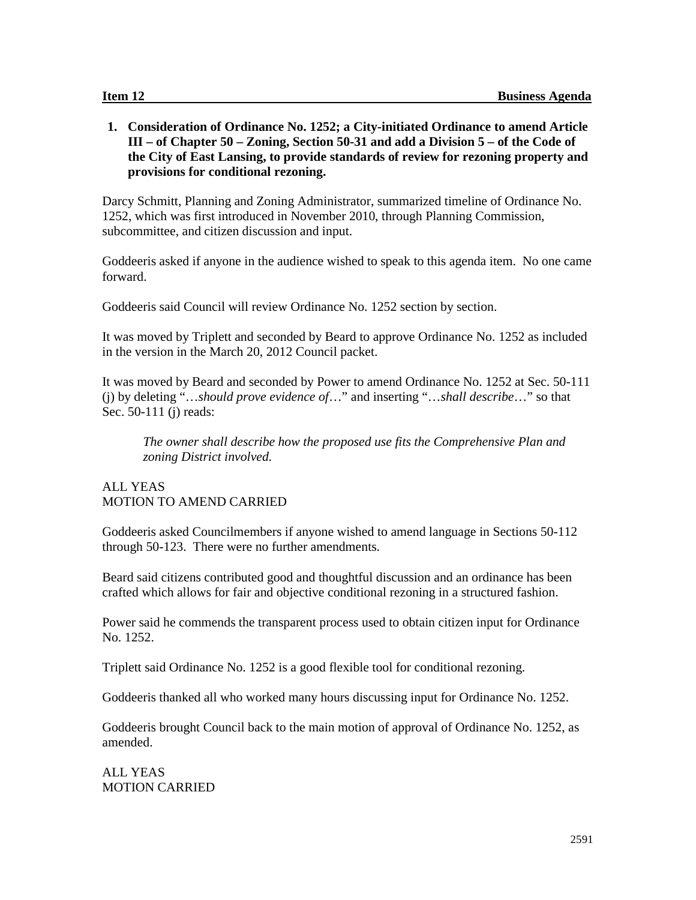**1. Consideration of Ordinance No. 1252; a City-initiated Ordinance to amend Article III – of Chapter 50 – Zoning, Section 50-31 and add a Division 5 – of the Code of the City of East Lansing, to provide standards of review for rezoning property and provisions for conditional rezoning.**

Darcy Schmitt, Planning and Zoning Administrator, summarized timeline of Ordinance No. 1252, which was first introduced in November 2010, through Planning Commission, subcommittee, and citizen discussion and input.

Goddeeris asked if anyone in the audience wished to speak to this agenda item. No one came forward.

Goddeeris said Council will review Ordinance No. 1252 section by section.

It was moved by Triplett and seconded by Beard to approve Ordinance No. 1252 as included in the version in the March 20, 2012 Council packet.

It was moved by Beard and seconded by Power to amend Ordinance No. 1252 at Sec. 50-111 (j) by deleting "…*should prove evidence of*…" and inserting "…*shall describe*…" so that Sec. 50-111 (j) reads:

*The owner shall describe how the proposed use fits the Comprehensive Plan and zoning District involved.*

# ALL YEAS MOTION TO AMEND CARRIED

Goddeeris asked Councilmembers if anyone wished to amend language in Sections 50-112 through 50-123. There were no further amendments.

Beard said citizens contributed good and thoughtful discussion and an ordinance has been crafted which allows for fair and objective conditional rezoning in a structured fashion.

Power said he commends the transparent process used to obtain citizen input for Ordinance No. 1252.

Triplett said Ordinance No. 1252 is a good flexible tool for conditional rezoning.

Goddeeris thanked all who worked many hours discussing input for Ordinance No. 1252.

Goddeeris brought Council back to the main motion of approval of Ordinance No. 1252, as amended.

ALL YEAS MOTION CARRIED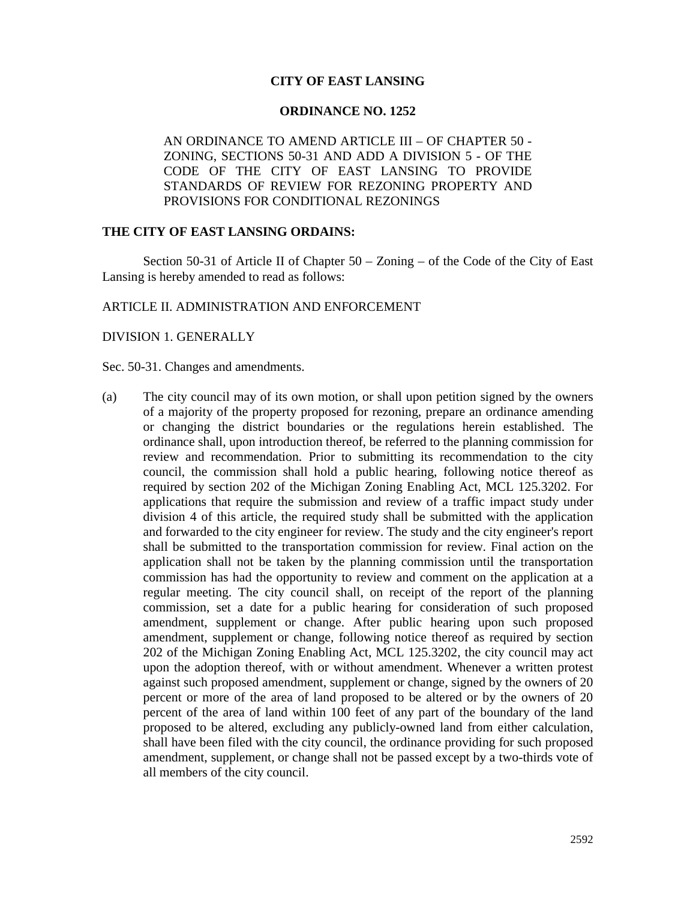## **CITY OF EAST LANSING**

#### **ORDINANCE NO. 1252**

AN ORDINANCE TO AMEND ARTICLE III – OF CHAPTER 50 - ZONING, SECTIONS 50-31 AND ADD A DIVISION 5 - OF THE CODE OF THE CITY OF EAST LANSING TO PROVIDE STANDARDS OF REVIEW FOR REZONING PROPERTY AND PROVISIONS FOR CONDITIONAL REZONINGS

# **THE CITY OF EAST LANSING ORDAINS:**

Section 50-31 of Article II of Chapter 50 – Zoning – of the Code of the City of East Lansing is hereby amended to read as follows:

#### ARTICLE II. ADMINISTRATION AND ENFORCEMENT

#### DIVISION 1. GENERALLY

#### Sec. 50-31. Changes and amendments.

(a) The city council may of its own motion, or shall upon petition signed by the owners of a majority of the property proposed for rezoning, prepare an ordinance amending or changing the district boundaries or the regulations herein established. The ordinance shall, upon introduction thereof, be referred to the planning commission for review and recommendation. Prior to submitting its recommendation to the city council, the commission shall hold a public hearing, following notice thereof as required by section 202 of the Michigan Zoning Enabling Act, MCL 125.3202. For applications that require the submission and review of a traffic impact study under division 4 of this article, the required study shall be submitted with the application and forwarded to the city engineer for review. The study and the city engineer's report shall be submitted to the transportation commission for review. Final action on the application shall not be taken by the planning commission until the transportation commission has had the opportunity to review and comment on the application at a regular meeting. The city council shall, on receipt of the report of the planning commission, set a date for a public hearing for consideration of such proposed amendment, supplement or change. After public hearing upon such proposed amendment, supplement or change, following notice thereof as required by section 202 of the Michigan Zoning Enabling Act, MCL 125.3202, the city council may act upon the adoption thereof, with or without amendment. Whenever a written protest against such proposed amendment, supplement or change, signed by the owners of 20 percent or more of the area of land proposed to be altered or by the owners of 20 percent of the area of land within 100 feet of any part of the boundary of the land proposed to be altered, excluding any publicly-owned land from either calculation, shall have been filed with the city council, the ordinance providing for such proposed amendment, supplement, or change shall not be passed except by a two-thirds vote of all members of the city council.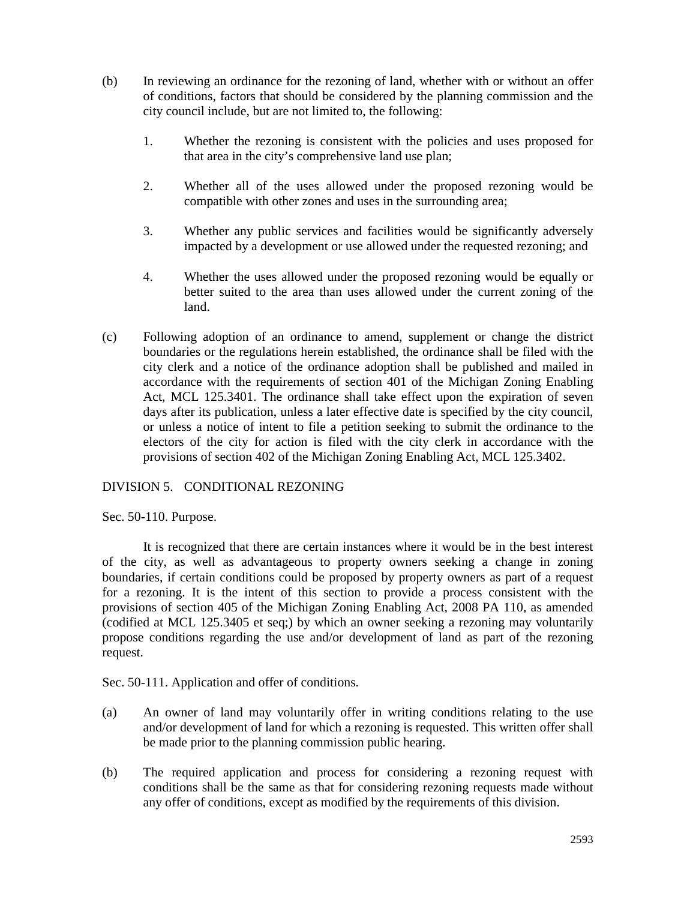- (b) In reviewing an ordinance for the rezoning of land, whether with or without an offer of conditions, factors that should be considered by the planning commission and the city council include, but are not limited to, the following:
	- 1. Whether the rezoning is consistent with the policies and uses proposed for that area in the city's comprehensive land use plan;
	- 2. Whether all of the uses allowed under the proposed rezoning would be compatible with other zones and uses in the surrounding area;
	- 3. Whether any public services and facilities would be significantly adversely impacted by a development or use allowed under the requested rezoning; and
	- 4. Whether the uses allowed under the proposed rezoning would be equally or better suited to the area than uses allowed under the current zoning of the land.
- (c) Following adoption of an ordinance to amend, supplement or change the district boundaries or the regulations herein established, the ordinance shall be filed with the city clerk and a notice of the ordinance adoption shall be published and mailed in accordance with the requirements of section 401 of the Michigan Zoning Enabling Act, MCL 125.3401. The ordinance shall take effect upon the expiration of seven days after its publication, unless a later effective date is specified by the city council, or unless a notice of intent to file a petition seeking to submit the ordinance to the electors of the city for action is filed with the city clerk in accordance with the provisions of section 402 of the Michigan Zoning Enabling Act, MCL 125.3402.

# DIVISION 5. CONDITIONAL REZONING

Sec. 50-110. Purpose.

It is recognized that there are certain instances where it would be in the best interest of the city, as well as advantageous to property owners seeking a change in zoning boundaries, if certain conditions could be proposed by property owners as part of a request for a rezoning. It is the intent of this section to provide a process consistent with the provisions of section 405 of the Michigan Zoning Enabling Act, 2008 PA 110, as amended (codified at MCL 125.3405 et seq;) by which an owner seeking a rezoning may voluntarily propose conditions regarding the use and/or development of land as part of the rezoning request.

Sec. 50-111. Application and offer of conditions.

- (a) An owner of land may voluntarily offer in writing conditions relating to the use and/or development of land for which a rezoning is requested. This written offer shall be made prior to the planning commission public hearing.
- (b) The required application and process for considering a rezoning request with conditions shall be the same as that for considering rezoning requests made without any offer of conditions, except as modified by the requirements of this division.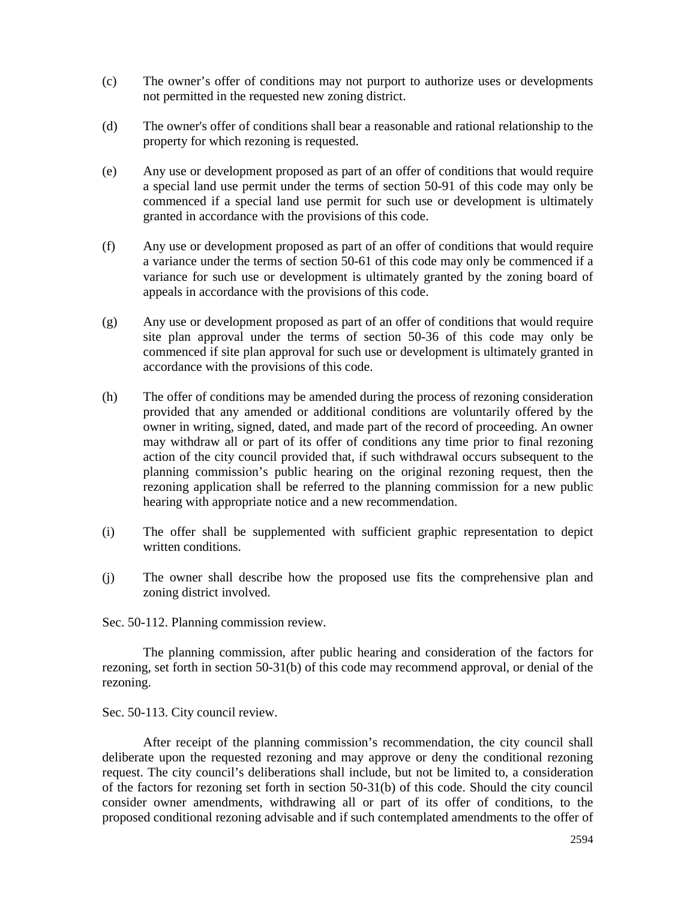- (c) The owner's offer of conditions may not purport to authorize uses or developments not permitted in the requested new zoning district.
- (d) The owner's offer of conditions shall bear a reasonable and rational relationship to the property for which rezoning is requested.
- (e) Any use or development proposed as part of an offer of conditions that would require a special land use permit under the terms of section 50-91 of this code may only be commenced if a special land use permit for such use or development is ultimately granted in accordance with the provisions of this code.
- (f) Any use or development proposed as part of an offer of conditions that would require a variance under the terms of section 50-61 of this code may only be commenced if a variance for such use or development is ultimately granted by the zoning board of appeals in accordance with the provisions of this code.
- (g) Any use or development proposed as part of an offer of conditions that would require site plan approval under the terms of section 50-36 of this code may only be commenced if site plan approval for such use or development is ultimately granted in accordance with the provisions of this code.
- (h) The offer of conditions may be amended during the process of rezoning consideration provided that any amended or additional conditions are voluntarily offered by the owner in writing, signed, dated, and made part of the record of proceeding. An owner may withdraw all or part of its offer of conditions any time prior to final rezoning action of the city council provided that, if such withdrawal occurs subsequent to the planning commission's public hearing on the original rezoning request, then the rezoning application shall be referred to the planning commission for a new public hearing with appropriate notice and a new recommendation.
- (i) The offer shall be supplemented with sufficient graphic representation to depict written conditions.
- (j) The owner shall describe how the proposed use fits the comprehensive plan and zoning district involved.

Sec. 50-112. Planning commission review.

The planning commission, after public hearing and consideration of the factors for rezoning, set forth in section 50-31(b) of this code may recommend approval, or denial of the rezoning.

Sec. 50-113. City council review.

After receipt of the planning commission's recommendation, the city council shall deliberate upon the requested rezoning and may approve or deny the conditional rezoning request. The city council's deliberations shall include, but not be limited to, a consideration of the factors for rezoning set forth in section 50-31(b) of this code. Should the city council consider owner amendments, withdrawing all or part of its offer of conditions, to the proposed conditional rezoning advisable and if such contemplated amendments to the offer of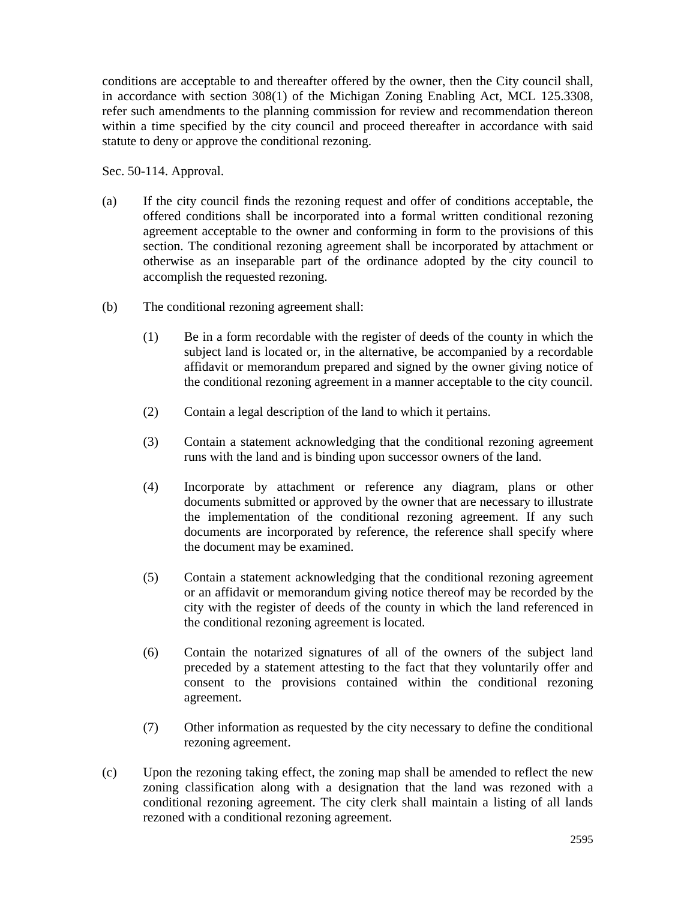conditions are acceptable to and thereafter offered by the owner, then the City council shall, in accordance with section 308(1) of the Michigan Zoning Enabling Act, MCL 125.3308, refer such amendments to the planning commission for review and recommendation thereon within a time specified by the city council and proceed thereafter in accordance with said statute to deny or approve the conditional rezoning.

Sec. 50-114. Approval.

- (a) If the city council finds the rezoning request and offer of conditions acceptable, the offered conditions shall be incorporated into a formal written conditional rezoning agreement acceptable to the owner and conforming in form to the provisions of this section. The conditional rezoning agreement shall be incorporated by attachment or otherwise as an inseparable part of the ordinance adopted by the city council to accomplish the requested rezoning.
- (b) The conditional rezoning agreement shall:
	- (1) Be in a form recordable with the register of deeds of the county in which the subject land is located or, in the alternative, be accompanied by a recordable affidavit or memorandum prepared and signed by the owner giving notice of the conditional rezoning agreement in a manner acceptable to the city council.
	- (2) Contain a legal description of the land to which it pertains.
	- (3) Contain a statement acknowledging that the conditional rezoning agreement runs with the land and is binding upon successor owners of the land.
	- (4) Incorporate by attachment or reference any diagram, plans or other documents submitted or approved by the owner that are necessary to illustrate the implementation of the conditional rezoning agreement. If any such documents are incorporated by reference, the reference shall specify where the document may be examined.
	- (5) Contain a statement acknowledging that the conditional rezoning agreement or an affidavit or memorandum giving notice thereof may be recorded by the city with the register of deeds of the county in which the land referenced in the conditional rezoning agreement is located.
	- (6) Contain the notarized signatures of all of the owners of the subject land preceded by a statement attesting to the fact that they voluntarily offer and consent to the provisions contained within the conditional rezoning agreement.
	- (7) Other information as requested by the city necessary to define the conditional rezoning agreement.
- (c) Upon the rezoning taking effect, the zoning map shall be amended to reflect the new zoning classification along with a designation that the land was rezoned with a conditional rezoning agreement. The city clerk shall maintain a listing of all lands rezoned with a conditional rezoning agreement.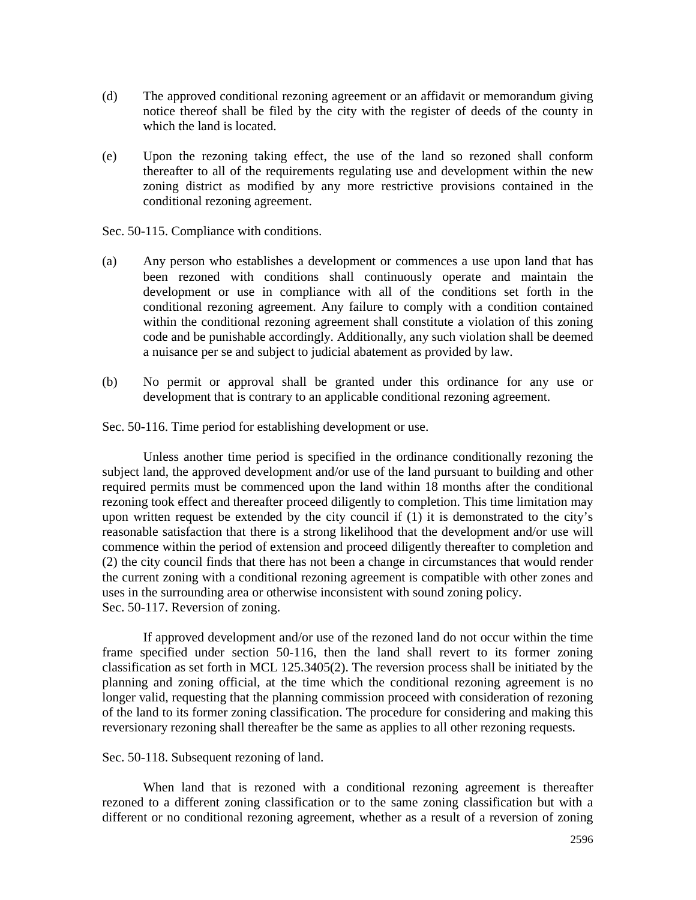- (d) The approved conditional rezoning agreement or an affidavit or memorandum giving notice thereof shall be filed by the city with the register of deeds of the county in which the land is located.
- (e) Upon the rezoning taking effect, the use of the land so rezoned shall conform thereafter to all of the requirements regulating use and development within the new zoning district as modified by any more restrictive provisions contained in the conditional rezoning agreement.

Sec. 50-115. Compliance with conditions.

- (a) Any person who establishes a development or commences a use upon land that has been rezoned with conditions shall continuously operate and maintain the development or use in compliance with all of the conditions set forth in the conditional rezoning agreement. Any failure to comply with a condition contained within the conditional rezoning agreement shall constitute a violation of this zoning code and be punishable accordingly. Additionally, any such violation shall be deemed a nuisance per se and subject to judicial abatement as provided by law.
- (b) No permit or approval shall be granted under this ordinance for any use or development that is contrary to an applicable conditional rezoning agreement.

Sec. 50-116. Time period for establishing development or use.

Unless another time period is specified in the ordinance conditionally rezoning the subject land, the approved development and/or use of the land pursuant to building and other required permits must be commenced upon the land within 18 months after the conditional rezoning took effect and thereafter proceed diligently to completion. This time limitation may upon written request be extended by the city council if (1) it is demonstrated to the city's reasonable satisfaction that there is a strong likelihood that the development and/or use will commence within the period of extension and proceed diligently thereafter to completion and (2) the city council finds that there has not been a change in circumstances that would render the current zoning with a conditional rezoning agreement is compatible with other zones and uses in the surrounding area or otherwise inconsistent with sound zoning policy. Sec. 50-117. Reversion of zoning.

If approved development and/or use of the rezoned land do not occur within the time frame specified under section 50-116, then the land shall revert to its former zoning classification as set forth in MCL 125.3405(2). The reversion process shall be initiated by the planning and zoning official, at the time which the conditional rezoning agreement is no longer valid, requesting that the planning commission proceed with consideration of rezoning of the land to its former zoning classification. The procedure for considering and making this reversionary rezoning shall thereafter be the same as applies to all other rezoning requests.

Sec. 50-118. Subsequent rezoning of land.

When land that is rezoned with a conditional rezoning agreement is thereafter rezoned to a different zoning classification or to the same zoning classification but with a different or no conditional rezoning agreement, whether as a result of a reversion of zoning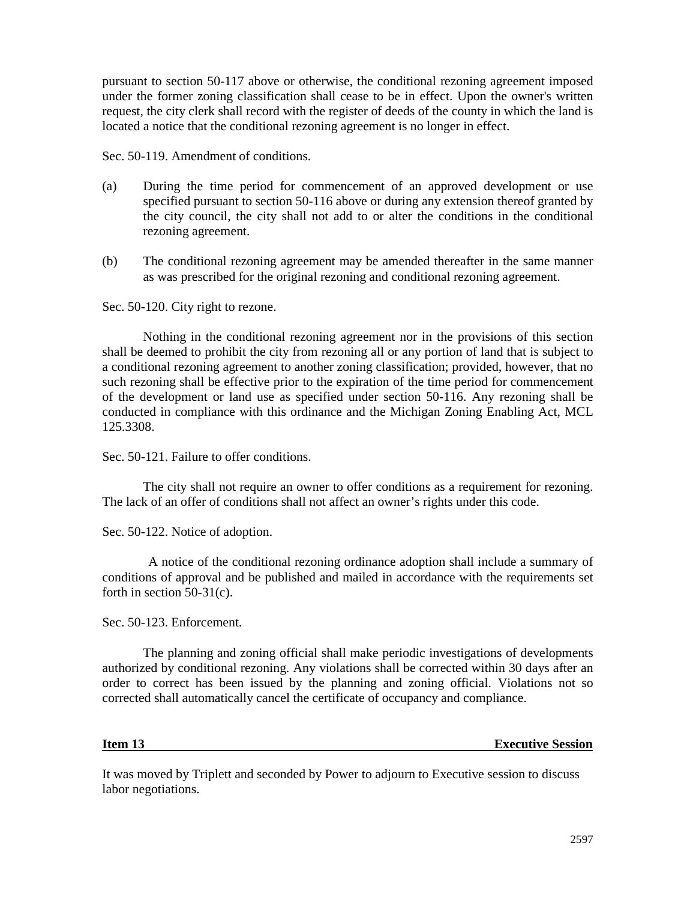pursuant to section 50-117 above or otherwise, the conditional rezoning agreement imposed under the former zoning classification shall cease to be in effect. Upon the owner's written request, the city clerk shall record with the register of deeds of the county in which the land is located a notice that the conditional rezoning agreement is no longer in effect.

Sec. 50-119. Amendment of conditions.

- (a) During the time period for commencement of an approved development or use specified pursuant to section 50-116 above or during any extension thereof granted by the city council, the city shall not add to or alter the conditions in the conditional rezoning agreement.
- (b) The conditional rezoning agreement may be amended thereafter in the same manner as was prescribed for the original rezoning and conditional rezoning agreement.

Sec. 50-120. City right to rezone.

Nothing in the conditional rezoning agreement nor in the provisions of this section shall be deemed to prohibit the city from rezoning all or any portion of land that is subject to a conditional rezoning agreement to another zoning classification; provided, however, that no such rezoning shall be effective prior to the expiration of the time period for commencement of the development or land use as specified under section 50-116. Any rezoning shall be conducted in compliance with this ordinance and the Michigan Zoning Enabling Act, MCL 125.3308.

Sec. 50-121. Failure to offer conditions.

The city shall not require an owner to offer conditions as a requirement for rezoning. The lack of an offer of conditions shall not affect an owner's rights under this code.

Sec. 50-122. Notice of adoption.

A notice of the conditional rezoning ordinance adoption shall include a summary of conditions of approval and be published and mailed in accordance with the requirements set forth in section 50-31(c).

Sec. 50-123. Enforcement.

The planning and zoning official shall make periodic investigations of developments authorized by conditional rezoning. Any violations shall be corrected within 30 days after an order to correct has been issued by the planning and zoning official. Violations not so corrected shall automatically cancel the certificate of occupancy and compliance.

**Item 13** Executive Session

It was moved by Triplett and seconded by Power to adjourn to Executive session to discuss labor negotiations.